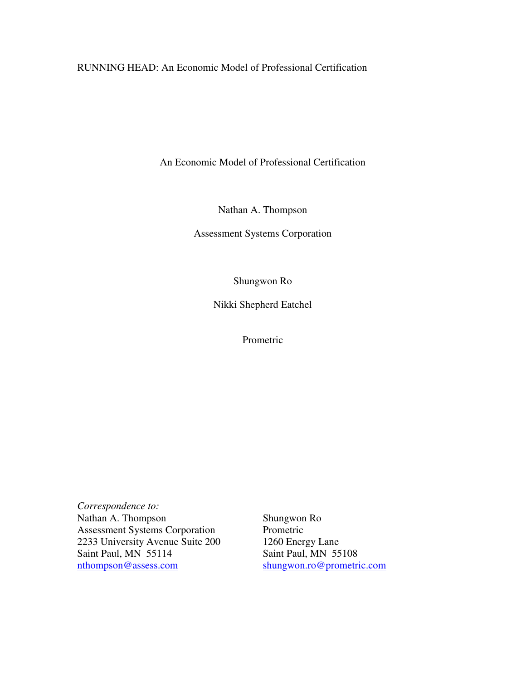RUNNING HEAD: An Economic Model of Professional Certification

An Economic Model of Professional Certification

Nathan A. Thompson

Assessment Systems Corporation

Shungwon Ro

Nikki Shepherd Eatchel

Prometric

*Correspondence to:*  Nathan A. Thompson Shungwon Ro<br>Assessment Systems Corporation Prometric Assessment Systems Corporation<br>
2233 University Avenue Suite 200 1260 Energy Lane 2233 University Avenue Suite 200<br>Saint Paul, MN 55114 nthompson@assess.com shungwon.ro@prometric.com

Saint Paul, MN 55108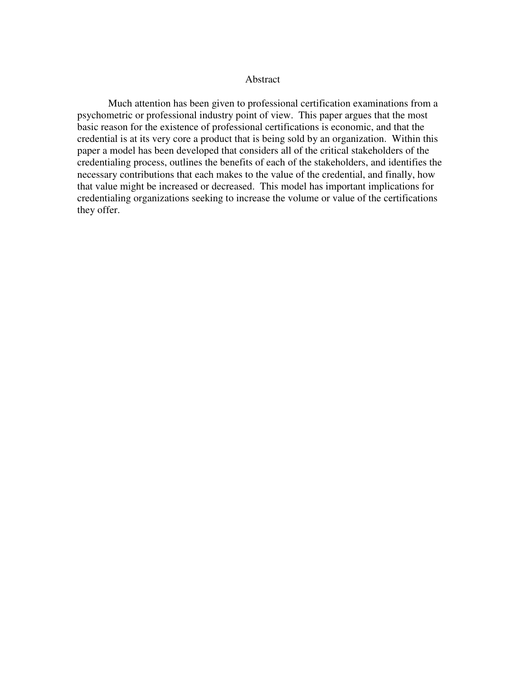### Abstract

 Much attention has been given to professional certification examinations from a psychometric or professional industry point of view. This paper argues that the most basic reason for the existence of professional certifications is economic, and that the credential is at its very core a product that is being sold by an organization. Within this paper a model has been developed that considers all of the critical stakeholders of the credentialing process, outlines the benefits of each of the stakeholders, and identifies the necessary contributions that each makes to the value of the credential, and finally, how that value might be increased or decreased. This model has important implications for credentialing organizations seeking to increase the volume or value of the certifications they offer.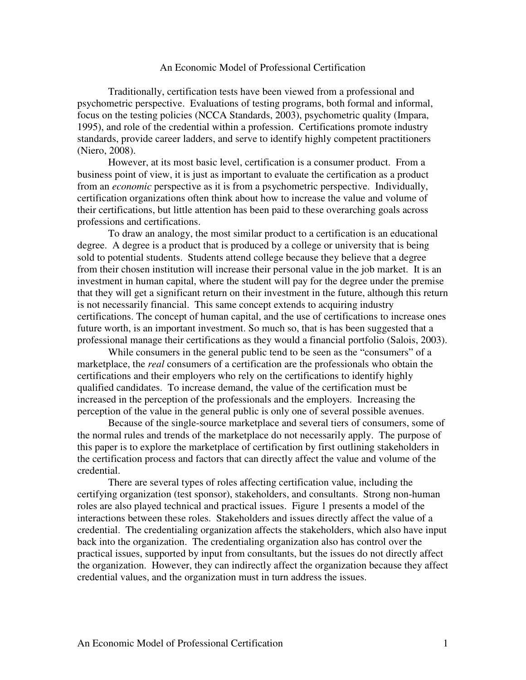### An Economic Model of Professional Certification

 Traditionally, certification tests have been viewed from a professional and psychometric perspective. Evaluations of testing programs, both formal and informal, focus on the testing policies (NCCA Standards, 2003), psychometric quality (Impara, 1995), and role of the credential within a profession. Certifications promote industry standards, provide career ladders, and serve to identify highly competent practitioners (Niero, 2008).

 However, at its most basic level, certification is a consumer product. From a business point of view, it is just as important to evaluate the certification as a product from an *economic* perspective as it is from a psychometric perspective. Individually, certification organizations often think about how to increase the value and volume of their certifications, but little attention has been paid to these overarching goals across professions and certifications.

 To draw an analogy, the most similar product to a certification is an educational degree. A degree is a product that is produced by a college or university that is being sold to potential students. Students attend college because they believe that a degree from their chosen institution will increase their personal value in the job market. It is an investment in human capital, where the student will pay for the degree under the premise that they will get a significant return on their investment in the future, although this return is not necessarily financial. This same concept extends to acquiring industry certifications. The concept of human capital, and the use of certifications to increase ones future worth, is an important investment. So much so, that is has been suggested that a professional manage their certifications as they would a financial portfolio (Salois, 2003).

 While consumers in the general public tend to be seen as the "consumers" of a marketplace, the *real* consumers of a certification are the professionals who obtain the certifications and their employers who rely on the certifications to identify highly qualified candidates. To increase demand, the value of the certification must be increased in the perception of the professionals and the employers. Increasing the perception of the value in the general public is only one of several possible avenues.

 Because of the single-source marketplace and several tiers of consumers, some of the normal rules and trends of the marketplace do not necessarily apply. The purpose of this paper is to explore the marketplace of certification by first outlining stakeholders in the certification process and factors that can directly affect the value and volume of the credential.

 There are several types of roles affecting certification value, including the certifying organization (test sponsor), stakeholders, and consultants. Strong non-human roles are also played technical and practical issues. Figure 1 presents a model of the interactions between these roles. Stakeholders and issues directly affect the value of a credential. The credentialing organization affects the stakeholders, which also have input back into the organization. The credentialing organization also has control over the practical issues, supported by input from consultants, but the issues do not directly affect the organization. However, they can indirectly affect the organization because they affect credential values, and the organization must in turn address the issues.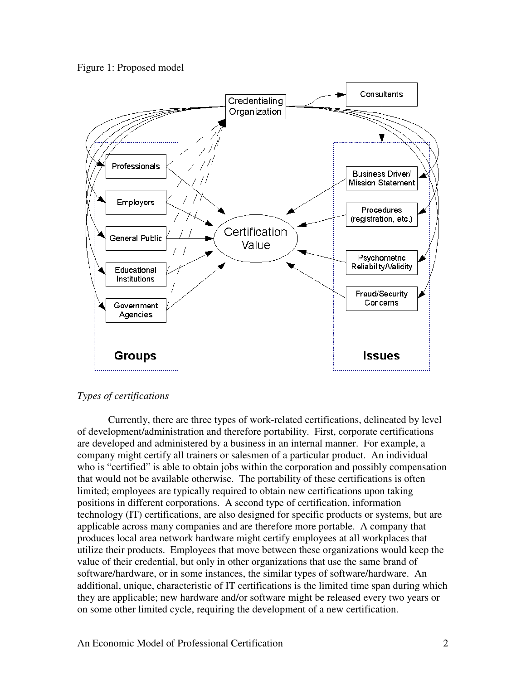



# *Types of certifications*

 Currently, there are three types of work-related certifications, delineated by level of development/administration and therefore portability. First, corporate certifications are developed and administered by a business in an internal manner. For example, a company might certify all trainers or salesmen of a particular product. An individual who is "certified" is able to obtain jobs within the corporation and possibly compensation that would not be available otherwise. The portability of these certifications is often limited; employees are typically required to obtain new certifications upon taking positions in different corporations. A second type of certification, information technology (IT) certifications, are also designed for specific products or systems, but are applicable across many companies and are therefore more portable. A company that produces local area network hardware might certify employees at all workplaces that utilize their products. Employees that move between these organizations would keep the value of their credential, but only in other organizations that use the same brand of software/hardware, or in some instances, the similar types of software/hardware. An additional, unique, characteristic of IT certifications is the limited time span during which they are applicable; new hardware and/or software might be released every two years or on some other limited cycle, requiring the development of a new certification.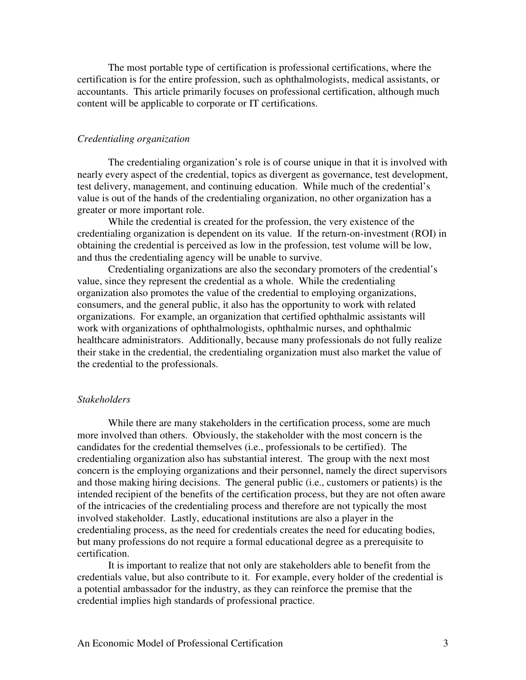The most portable type of certification is professional certifications, where the certification is for the entire profession, such as ophthalmologists, medical assistants, or accountants. This article primarily focuses on professional certification, although much content will be applicable to corporate or IT certifications.

# *Credentialing organization*

The credentialing organization's role is of course unique in that it is involved with nearly every aspect of the credential, topics as divergent as governance, test development, test delivery, management, and continuing education. While much of the credential's value is out of the hands of the credentialing organization, no other organization has a greater or more important role.

 While the credential is created for the profession, the very existence of the credentialing organization is dependent on its value. If the return-on-investment (ROI) in obtaining the credential is perceived as low in the profession, test volume will be low, and thus the credentialing agency will be unable to survive.

 Credentialing organizations are also the secondary promoters of the credential's value, since they represent the credential as a whole. While the credentialing organization also promotes the value of the credential to employing organizations, consumers, and the general public, it also has the opportunity to work with related organizations. For example, an organization that certified ophthalmic assistants will work with organizations of ophthalmologists, ophthalmic nurses, and ophthalmic healthcare administrators. Additionally, because many professionals do not fully realize their stake in the credential, the credentialing organization must also market the value of the credential to the professionals.

### *Stakeholders*

 While there are many stakeholders in the certification process, some are much more involved than others. Obviously, the stakeholder with the most concern is the candidates for the credential themselves (i.e., professionals to be certified). The credentialing organization also has substantial interest. The group with the next most concern is the employing organizations and their personnel, namely the direct supervisors and those making hiring decisions. The general public (i.e., customers or patients) is the intended recipient of the benefits of the certification process, but they are not often aware of the intricacies of the credentialing process and therefore are not typically the most involved stakeholder. Lastly, educational institutions are also a player in the credentialing process, as the need for credentials creates the need for educating bodies, but many professions do not require a formal educational degree as a prerequisite to certification.

 It is important to realize that not only are stakeholders able to benefit from the credentials value, but also contribute to it. For example, every holder of the credential is a potential ambassador for the industry, as they can reinforce the premise that the credential implies high standards of professional practice.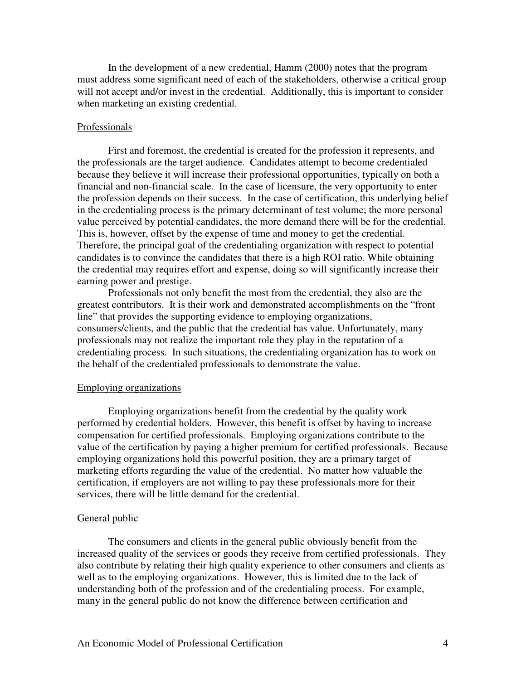In the development of a new credential, Hamm (2000) notes that the program must address some significant need of each of the stakeholders, otherwise a critical group will not accept and/or invest in the credential. Additionally, this is important to consider when marketing an existing credential.

### Professionals

 First and foremost, the credential is created for the profession it represents, and the professionals are the target audience. Candidates attempt to become credentialed because they believe it will increase their professional opportunities, typically on both a financial and non-financial scale. In the case of licensure, the very opportunity to enter the profession depends on their success. In the case of certification, this underlying belief in the credentialing process is the primary determinant of test volume; the more personal value perceived by potential candidates, the more demand there will be for the credential. This is, however, offset by the expense of time and money to get the credential. Therefore, the principal goal of the credentialing organization with respect to potential candidates is to convince the candidates that there is a high ROI ratio. While obtaining the credential may requires effort and expense, doing so will significantly increase their earning power and prestige.

 Professionals not only benefit the most from the credential, they also are the greatest contributors. It is their work and demonstrated accomplishments on the "front line" that provides the supporting evidence to employing organizations, consumers/clients, and the public that the credential has value. Unfortunately, many professionals may not realize the important role they play in the reputation of a credentialing process. In such situations, the credentialing organization has to work on the behalf of the credentialed professionals to demonstrate the value.

### Employing organizations

 Employing organizations benefit from the credential by the quality work performed by credential holders. However, this benefit is offset by having to increase compensation for certified professionals. Employing organizations contribute to the value of the certification by paying a higher premium for certified professionals. Because employing organizations hold this powerful position, they are a primary target of marketing efforts regarding the value of the credential. No matter how valuable the certification, if employers are not willing to pay these professionals more for their services, there will be little demand for the credential.

#### General public

 The consumers and clients in the general public obviously benefit from the increased quality of the services or goods they receive from certified professionals. They also contribute by relating their high quality experience to other consumers and clients as well as to the employing organizations. However, this is limited due to the lack of understanding both of the profession and of the credentialing process. For example, many in the general public do not know the difference between certification and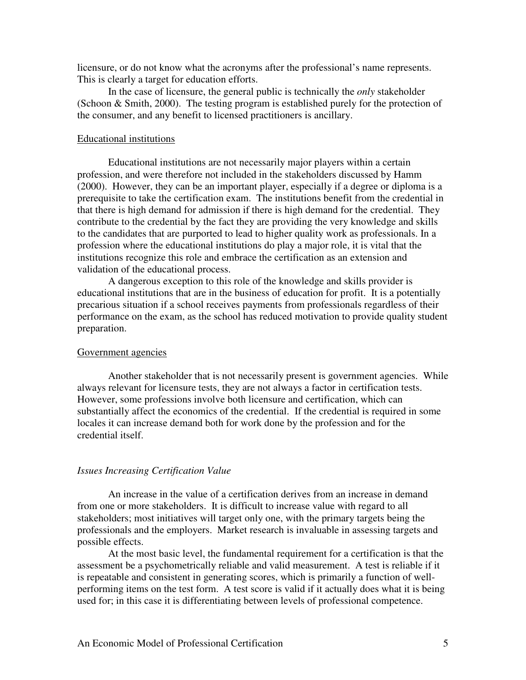licensure, or do not know what the acronyms after the professional's name represents. This is clearly a target for education efforts.

 In the case of licensure, the general public is technically the *only* stakeholder (Schoon & Smith, 2000). The testing program is established purely for the protection of the consumer, and any benefit to licensed practitioners is ancillary.

### Educational institutions

 Educational institutions are not necessarily major players within a certain profession, and were therefore not included in the stakeholders discussed by Hamm (2000). However, they can be an important player, especially if a degree or diploma is a prerequisite to take the certification exam. The institutions benefit from the credential in that there is high demand for admission if there is high demand for the credential. They contribute to the credential by the fact they are providing the very knowledge and skills to the candidates that are purported to lead to higher quality work as professionals. In a profession where the educational institutions do play a major role, it is vital that the institutions recognize this role and embrace the certification as an extension and validation of the educational process.

 A dangerous exception to this role of the knowledge and skills provider is educational institutions that are in the business of education for profit. It is a potentially precarious situation if a school receives payments from professionals regardless of their performance on the exam, as the school has reduced motivation to provide quality student preparation.

### Government agencies

 Another stakeholder that is not necessarily present is government agencies. While always relevant for licensure tests, they are not always a factor in certification tests. However, some professions involve both licensure and certification, which can substantially affect the economics of the credential. If the credential is required in some locales it can increase demand both for work done by the profession and for the credential itself.

### *Issues Increasing Certification Value*

 An increase in the value of a certification derives from an increase in demand from one or more stakeholders. It is difficult to increase value with regard to all stakeholders; most initiatives will target only one, with the primary targets being the professionals and the employers. Market research is invaluable in assessing targets and possible effects.

 At the most basic level, the fundamental requirement for a certification is that the assessment be a psychometrically reliable and valid measurement. A test is reliable if it is repeatable and consistent in generating scores, which is primarily a function of wellperforming items on the test form. A test score is valid if it actually does what it is being used for; in this case it is differentiating between levels of professional competence.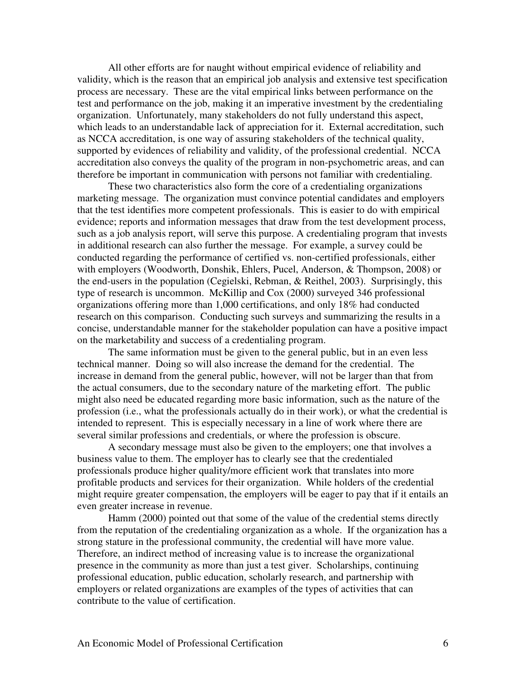All other efforts are for naught without empirical evidence of reliability and validity, which is the reason that an empirical job analysis and extensive test specification process are necessary. These are the vital empirical links between performance on the test and performance on the job, making it an imperative investment by the credentialing organization. Unfortunately, many stakeholders do not fully understand this aspect, which leads to an understandable lack of appreciation for it. External accreditation, such as NCCA accreditation, is one way of assuring stakeholders of the technical quality, supported by evidences of reliability and validity, of the professional credential. NCCA accreditation also conveys the quality of the program in non-psychometric areas, and can therefore be important in communication with persons not familiar with credentialing.

 These two characteristics also form the core of a credentialing organizations marketing message. The organization must convince potential candidates and employers that the test identifies more competent professionals. This is easier to do with empirical evidence; reports and information messages that draw from the test development process, such as a job analysis report, will serve this purpose. A credentialing program that invests in additional research can also further the message. For example, a survey could be conducted regarding the performance of certified vs. non-certified professionals, either with employers (Woodworth, Donshik, Ehlers, Pucel, Anderson, & Thompson, 2008) or the end-users in the population (Cegielski, Rebman, & Reithel, 2003). Surprisingly, this type of research is uncommon. McKillip and Cox (2000) surveyed 346 professional organizations offering more than 1,000 certifications, and only 18% had conducted research on this comparison. Conducting such surveys and summarizing the results in a concise, understandable manner for the stakeholder population can have a positive impact on the marketability and success of a credentialing program.

 The same information must be given to the general public, but in an even less technical manner. Doing so will also increase the demand for the credential. The increase in demand from the general public, however, will not be larger than that from the actual consumers, due to the secondary nature of the marketing effort. The public might also need be educated regarding more basic information, such as the nature of the profession (i.e., what the professionals actually do in their work), or what the credential is intended to represent. This is especially necessary in a line of work where there are several similar professions and credentials, or where the profession is obscure.

 A secondary message must also be given to the employers; one that involves a business value to them. The employer has to clearly see that the credentialed professionals produce higher quality/more efficient work that translates into more profitable products and services for their organization. While holders of the credential might require greater compensation, the employers will be eager to pay that if it entails an even greater increase in revenue.

 Hamm (2000) pointed out that some of the value of the credential stems directly from the reputation of the credentialing organization as a whole. If the organization has a strong stature in the professional community, the credential will have more value. Therefore, an indirect method of increasing value is to increase the organizational presence in the community as more than just a test giver. Scholarships, continuing professional education, public education, scholarly research, and partnership with employers or related organizations are examples of the types of activities that can contribute to the value of certification.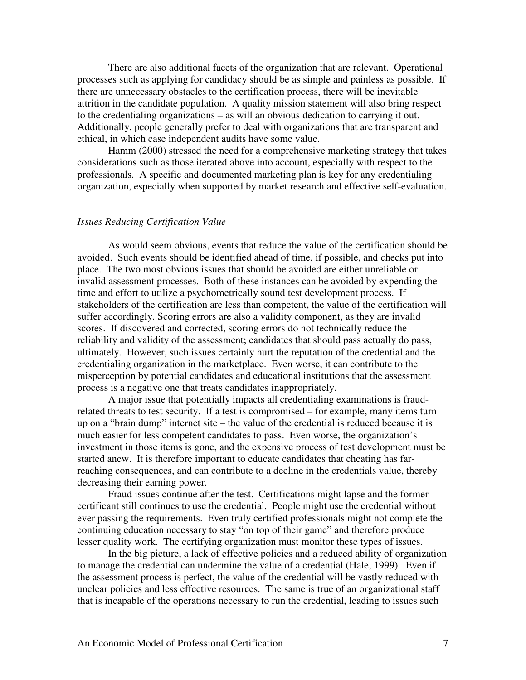There are also additional facets of the organization that are relevant. Operational processes such as applying for candidacy should be as simple and painless as possible. If there are unnecessary obstacles to the certification process, there will be inevitable attrition in the candidate population. A quality mission statement will also bring respect to the credentialing organizations – as will an obvious dedication to carrying it out. Additionally, people generally prefer to deal with organizations that are transparent and ethical, in which case independent audits have some value.

 Hamm (2000) stressed the need for a comprehensive marketing strategy that takes considerations such as those iterated above into account, especially with respect to the professionals. A specific and documented marketing plan is key for any credentialing organization, especially when supported by market research and effective self-evaluation.

### *Issues Reducing Certification Value*

 As would seem obvious, events that reduce the value of the certification should be avoided. Such events should be identified ahead of time, if possible, and checks put into place. The two most obvious issues that should be avoided are either unreliable or invalid assessment processes. Both of these instances can be avoided by expending the time and effort to utilize a psychometrically sound test development process. If stakeholders of the certification are less than competent, the value of the certification will suffer accordingly. Scoring errors are also a validity component, as they are invalid scores. If discovered and corrected, scoring errors do not technically reduce the reliability and validity of the assessment; candidates that should pass actually do pass, ultimately. However, such issues certainly hurt the reputation of the credential and the credentialing organization in the marketplace. Even worse, it can contribute to the misperception by potential candidates and educational institutions that the assessment process is a negative one that treats candidates inappropriately.

 A major issue that potentially impacts all credentialing examinations is fraudrelated threats to test security. If a test is compromised – for example, many items turn up on a "brain dump" internet site – the value of the credential is reduced because it is much easier for less competent candidates to pass. Even worse, the organization's investment in those items is gone, and the expensive process of test development must be started anew. It is therefore important to educate candidates that cheating has farreaching consequences, and can contribute to a decline in the credentials value, thereby decreasing their earning power.

 Fraud issues continue after the test. Certifications might lapse and the former certificant still continues to use the credential. People might use the credential without ever passing the requirements. Even truly certified professionals might not complete the continuing education necessary to stay "on top of their game" and therefore produce lesser quality work. The certifying organization must monitor these types of issues.

 In the big picture, a lack of effective policies and a reduced ability of organization to manage the credential can undermine the value of a credential (Hale, 1999). Even if the assessment process is perfect, the value of the credential will be vastly reduced with unclear policies and less effective resources. The same is true of an organizational staff that is incapable of the operations necessary to run the credential, leading to issues such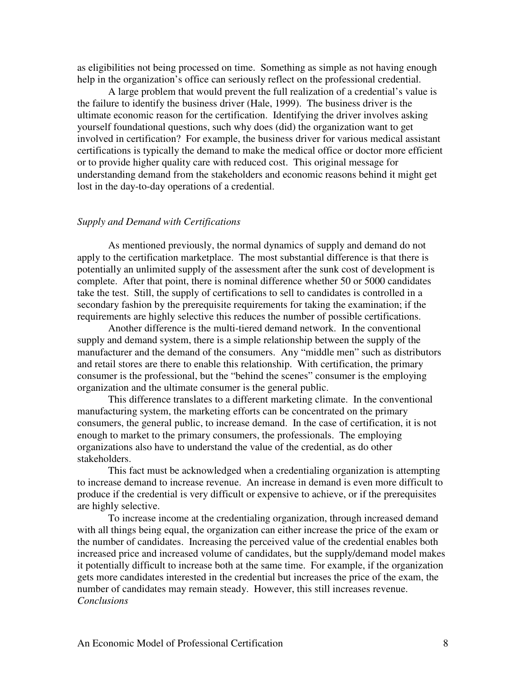as eligibilities not being processed on time. Something as simple as not having enough help in the organization's office can seriously reflect on the professional credential.

 A large problem that would prevent the full realization of a credential's value is the failure to identify the business driver (Hale, 1999). The business driver is the ultimate economic reason for the certification. Identifying the driver involves asking yourself foundational questions, such why does (did) the organization want to get involved in certification? For example, the business driver for various medical assistant certifications is typically the demand to make the medical office or doctor more efficient or to provide higher quality care with reduced cost. This original message for understanding demand from the stakeholders and economic reasons behind it might get lost in the day-to-day operations of a credential.

# *Supply and Demand with Certifications*

 As mentioned previously, the normal dynamics of supply and demand do not apply to the certification marketplace. The most substantial difference is that there is potentially an unlimited supply of the assessment after the sunk cost of development is complete. After that point, there is nominal difference whether 50 or 5000 candidates take the test. Still, the supply of certifications to sell to candidates is controlled in a secondary fashion by the prerequisite requirements for taking the examination; if the requirements are highly selective this reduces the number of possible certifications.

 Another difference is the multi-tiered demand network. In the conventional supply and demand system, there is a simple relationship between the supply of the manufacturer and the demand of the consumers. Any "middle men" such as distributors and retail stores are there to enable this relationship. With certification, the primary consumer is the professional, but the "behind the scenes" consumer is the employing organization and the ultimate consumer is the general public.

 This difference translates to a different marketing climate. In the conventional manufacturing system, the marketing efforts can be concentrated on the primary consumers, the general public, to increase demand. In the case of certification, it is not enough to market to the primary consumers, the professionals. The employing organizations also have to understand the value of the credential, as do other stakeholders.

 This fact must be acknowledged when a credentialing organization is attempting to increase demand to increase revenue. An increase in demand is even more difficult to produce if the credential is very difficult or expensive to achieve, or if the prerequisites are highly selective.

 To increase income at the credentialing organization, through increased demand with all things being equal, the organization can either increase the price of the exam or the number of candidates. Increasing the perceived value of the credential enables both increased price and increased volume of candidates, but the supply/demand model makes it potentially difficult to increase both at the same time. For example, if the organization gets more candidates interested in the credential but increases the price of the exam, the number of candidates may remain steady. However, this still increases revenue. *Conclusions*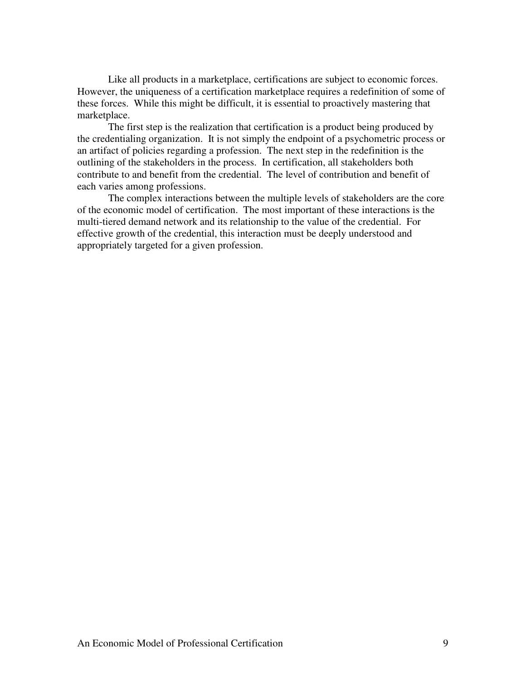Like all products in a marketplace, certifications are subject to economic forces. However, the uniqueness of a certification marketplace requires a redefinition of some of these forces. While this might be difficult, it is essential to proactively mastering that marketplace.

 The first step is the realization that certification is a product being produced by the credentialing organization. It is not simply the endpoint of a psychometric process or an artifact of policies regarding a profession. The next step in the redefinition is the outlining of the stakeholders in the process. In certification, all stakeholders both contribute to and benefit from the credential. The level of contribution and benefit of each varies among professions.

 The complex interactions between the multiple levels of stakeholders are the core of the economic model of certification. The most important of these interactions is the multi-tiered demand network and its relationship to the value of the credential. For effective growth of the credential, this interaction must be deeply understood and appropriately targeted for a given profession.